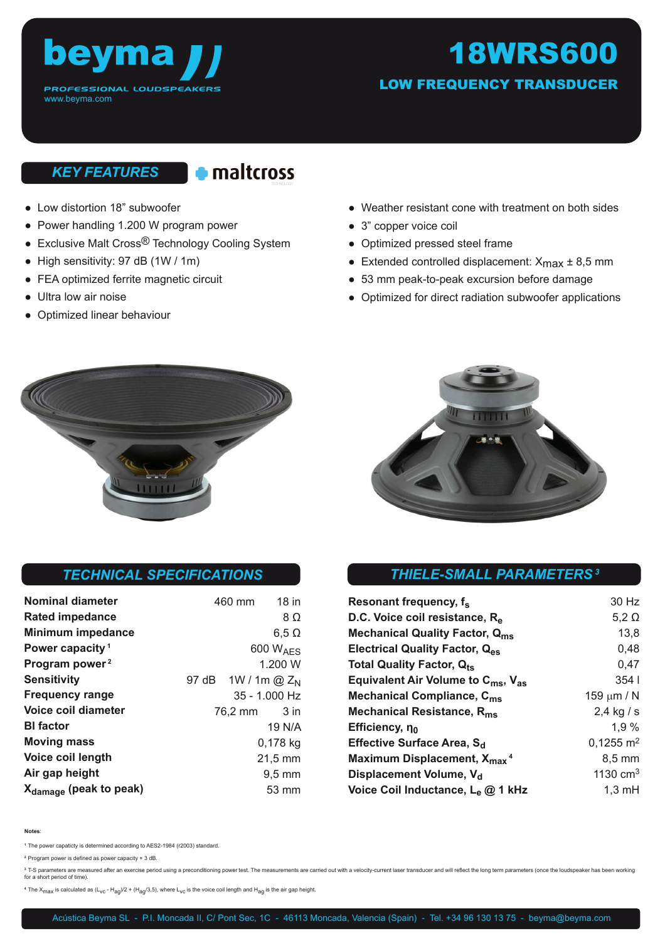

# 18WRS600

LOW FREQUENCY TRANSDUCER

## *KEY FEATURES*

460 mm 18 in

97 dB 1W / 1m @ Z<sub>N</sub>

35 - 1.000 Hz 76,2 mm 3 in

> 19 N/A 0,178 kg 21,5 mm 9,5 mm 53 mm

8 Ω  $6.5 \Omega$ 600 WAES 1.200 W

- Low distortion 18" subwoofer
- Power handling 1.200 W program power
- Exclusive Malt Cross<sup>®</sup> Technology Cooling System
- High sensitivity: 97 dB (1W / 1m)
- FEA optimized ferrite magnetic circuit
- Ultra low air noise

**Nominal diameter Rated impedance Minimum impedance Power capacity<sup>1</sup> Program power<sup>2</sup> Sensitivity**

**Frequency range Voice coil diameter**

**Bl factor Moving mass Voice coil length Air gap height**

● Optimized linear behaviour

- Weather resistant cone with treatment on both sides
- 3" copper voice coil
- Optimized pressed steel frame
- Extended controlled displacement:  $X_{\text{max}} \pm 8.5 \text{ mm}$
- 53 mm peak-to-peak excursion before damage
- Optimized for direct radiation subwoofer applications





### *THIELE-SMALL PARAMETERS<sup>3</sup> TECHNICAL SPECIFICATIONS*

| Resonant frequency, f <sub>s</sub>                         | 30 Hz                |
|------------------------------------------------------------|----------------------|
| D.C. Voice coil resistance, R <sub>e</sub>                 | $5,2 \Omega$         |
| <b>Mechanical Quality Factor, Qms</b>                      | 13,8                 |
| Electrical Quality Factor, Q <sub>es</sub>                 | 0,48                 |
| <b>Total Quality Factor, Qts</b>                           | 0,47                 |
| Equivalent Air Volume to C <sub>ms</sub> , V <sub>as</sub> | 354 <sub>1</sub>     |
| Mechanical Compliance, C <sub>ms</sub>                     | 159 $\mu$ m / N      |
| Mechanical Resistance, R <sub>ms</sub>                     | $2,4$ kg / s         |
| Efficiency, no                                             | 1.9%                 |
| Effective Surface Area, S <sub>d</sub>                     | $0,1255 \text{ m}^2$ |
| Maximum Displacement, X <sub>max</sub> <sup>4</sup>        | $8.5 \text{ mm}$     |
| Displacement Volume, V <sub>d</sub>                        | 1130 $cm3$           |
| Voice Coil Inductance, L <sub>e</sub> @ 1 kHz              | $1,3 \text{ mH}$     |

**Notes**:

**<sup>1</sup>**The power capaticty is determined according to AES2-1984 (r2003) standard.

**<sup>2</sup>**Program power is defined as power capacity + 3 dB.

**Xdamage (peak to peak)**

<sup>3</sup> T-S parameters are measured after an exercise period using a preconditioning power test. The measurements are carried out with a velocity-current laser transducer and will reflect the long term parameters (once the lou for a short period of time).

<sup>4</sup> The X<sub>max</sub> is calculated as (L<sub>VC</sub> - H<sub>ag</sub>)/2 + (H<sub>ag</sub>/3,5), where L<sub>VC</sub> is the voice coil length and H<sub>ag</sub> is the air gap height.